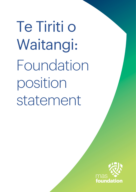Te Tiriti o Waitangi: Foundation position statement

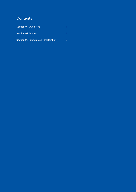## **Contents**

| Section 01 Our Intent                |  |
|--------------------------------------|--|
| <b>Section 02 Articles</b>           |  |
| Section 03 Ritenga Māori Declaration |  |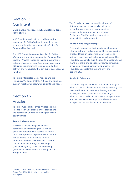### Section 01 Our Intent

E ngā mana, e ngā reo, e ngā kārangatanga. Tēnā koutou katoa.

MAS Foundation will actively and honourably implement Te Tiriti o Waitangi, through its role, scope, and function, as a responsible 'citizen' of Aotearoa New Zealand.

The MAS Foundation recognises that Te Tiriti o Waitangi is a founding document of Aotearoa New Zealand. We also recognize that as a responsible 'citizen' of Aotearoa New Zealand, we have many obligations opportunities to implement Te Tiriti actively and honourably through our role, scope, and function.

Te Tiriti is interpreted via its Articles and the Principles. We agree that the Articles and Principles support meeting tangata whenua rights and needs.

## Section 02 Articles

Te Tiriti o Waitangi has three Articles and the Ritenga Māori Declaration. These articles and the declaration underpin our obligations and opportunities.

#### Article 1: Kāwanatanga

This article reflects tangata whenua's agreement to enable tangata Te Tiriti to govern in Aotearoa New Zealand. In return, there was a promise to protect Māori culture and to enable Māori to live as Māori in Aotearoa, Aotearoa New Zealand. This article can be practised through kaitiakitanga (stewardship) of systems<sup>1</sup> and practicing governance in honourable and Rangatira-to-Rangatira ways.

The Foundation, as a responsible 'citizen' of Aotearoa, can play a role as a kaitiaki of its philanthropy system and ensure positive impact for tangata whenua, and all New Zealanders. The Foundation accepts this responsibility and opportunity.

#### Article II: Tino Rangatiratanga

This article recognises the importance of tangata whenua authority and autonomy. This article can be practised through supporting Māori to exercise authority over their self-determined wellbeing. The Foundation can make sure it supports tangata whenua mana motuhake and tino rangatiratanga through its investment role and partnering approach. The Foundation accepts this responsibility and opportunity.

#### Article III: Ōritetanga

This article requires equitable outcomes for tangata whenua. This article can be practised by ensuring that roles and functions prioritise achieving equity of access, experience, and outcomes for tangata whenua. The Foundation can make sure it prioritises equity in its investment approach. The Foundation accepts this responsibility and opportunity.

<sup>1</sup> Ministry of Health (2020) Whakamaua Māori Health Action Plan 2020-2025. Ministry of Health: Wellington.